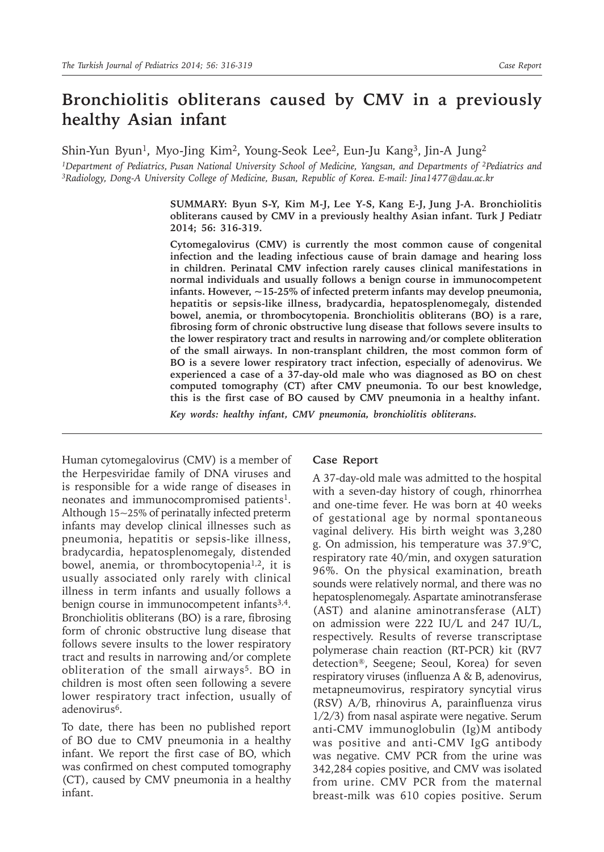# **Bronchiolitis obliterans caused by CMV in a previously healthy Asian infant**

Shin-Yun Byun<sup>1</sup>, Myo-Jing Kim<sup>2</sup>, Young-Seok Lee<sup>2</sup>, Eun-Ju Kang<sup>3</sup>, Jin-A Jung<sup>2</sup>

*<sup>1</sup>*Department of Pediatrics, Pusan National University School of Medicine, Yangsan, and Departments of <sup>2</sup>Pediatrics and *3Radiology, Dong-A University College of Medicine, Busan, Republic of Korea. E-mail: Jina1477@dau.ac.kr*

> **SUMMARY: Byun S-Y, Kim M-J, Lee Y-S, Kang E-J, Jung J-A. Bronchiolitis obliterans caused by CMV in a previously healthy Asian infant. Turk J Pediatr 2014; 56: 316-319.**

> **Cytomegalovirus (CMV) is currently the most common cause of congenital infection and the leading infectious cause of brain damage and hearing loss in children. Perinatal CMV infection rarely causes clinical manifestations in normal individuals and usually follows a benign course in immunocompetent infants. However, ~15-25% of infected preterm infants may develop pneumonia, hepatitis or sepsis-like illness, bradycardia, hepatosplenomegaly, distended bowel, anemia, or thrombocytopenia. Bronchiolitis obliterans (BO) is a rare, fibrosing form of chronic obstructive lung disease that follows severe insults to the lower respiratory tract and results in narrowing and/or complete obliteration of the small airways. In non-transplant children, the most common form of BO is a severe lower respiratory tract infection, especially of adenovirus. We experienced a case of a 37-day-old male who was diagnosed as BO on chest computed tomography (CT) after CMV pneumonia. To our best knowledge, this is the first case of BO caused by CMV pneumonia in a healthy infant.**

*Key words: healthy infant, CMV pneumonia, bronchiolitis obliterans.*

Human cytomegalovirus (CMV) is a member of the Herpesviridae family of DNA viruses and is responsible for a wide range of diseases in neonates and immunocompromised patients<sup>1</sup>. Although 15~25% of perinatally infected preterm infants may develop clinical illnesses such as pneumonia, hepatitis or sepsis-like illness, bradycardia, hepatosplenomegaly, distended bowel, anemia, or thrombocytopenia<sup>1,2</sup>, it is usually associated only rarely with clinical illness in term infants and usually follows a benign course in immunocompetent infants<sup>3,4</sup>. Bronchiolitis obliterans (BO) is a rare, fibrosing form of chronic obstructive lung disease that follows severe insults to the lower respiratory tract and results in narrowing and/or complete obliteration of the small airways<sup>5</sup>. BO in children is most often seen following a severe lower respiratory tract infection, usually of adenovirus<sup>6</sup>.

To date, there has been no published report of BO due to CMV pneumonia in a healthy infant. We report the first case of BO, which was confirmed on chest computed tomography (CT), caused by CMV pneumonia in a healthy infant.

#### **Case Report**

A 37-day-old male was admitted to the hospital with a seven-day history of cough, rhinorrhea and one-time fever. He was born at 40 weeks of gestational age by normal spontaneous vaginal delivery. His birth weight was 3,280 g. On admission, his temperature was 37.9°C, respiratory rate 40/min, and oxygen saturation 96%. On the physical examination, breath sounds were relatively normal, and there was no hepatosplenomegaly. Aspartate aminotransferase (AST) and alanine aminotransferase (ALT) on admission were 222 IU/L and 247 IU/L, respectively. Results of reverse transcriptase polymerase chain reaction (RT-PCR) kit (RV7 detection®, Seegene; Seoul, Korea) for seven respiratory viruses (influenza A & B, adenovirus, metapneumovirus, respiratory syncytial virus (RSV) A/B, rhinovirus A, parainfluenza virus 1/2/3) from nasal aspirate were negative. Serum anti-CMV immunoglobulin (Ig)M antibody was positive and anti-CMV IgG antibody was negative. CMV PCR from the urine was 342,284 copies positive, and CMV was isolated from urine. CMV PCR from the maternal breast-milk was 610 copies positive. Serum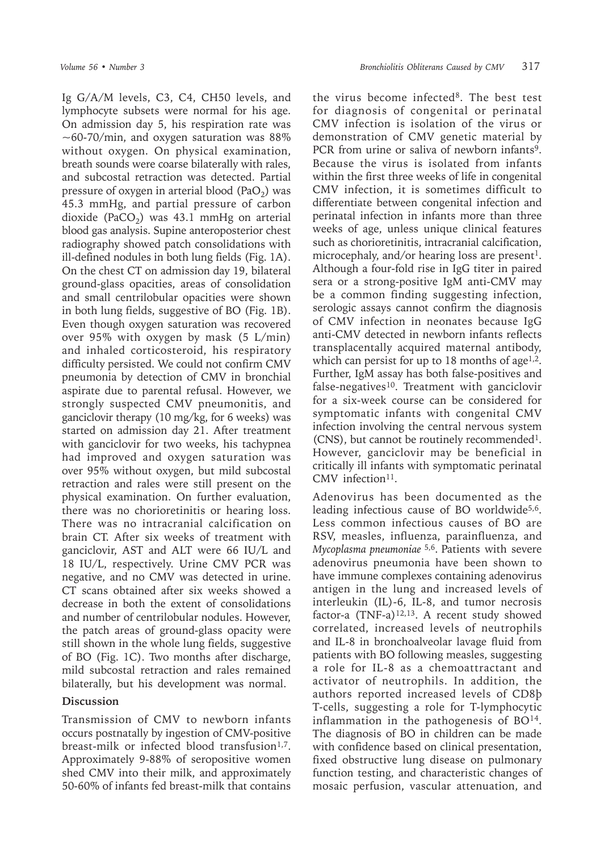Ig G/A/M levels, C3, C4, CH50 levels, and lymphocyte subsets were normal for his age. On admission day 5, his respiration rate was  $\sim$  60-70/min, and oxygen saturation was 88% without oxygen. On physical examination, breath sounds were coarse bilaterally with rales, and subcostal retraction was detected. Partial pressure of oxygen in arterial blood (PaO<sub>2</sub>) was 45.3 mmHg, and partial pressure of carbon dioxide (PaCO<sub>2</sub>) was 43.1 mmHg on arterial blood gas analysis. Supine anteroposterior chest radiography showed patch consolidations with ill-defined nodules in both lung fields (Fig. 1A). On the chest CT on admission day 19, bilateral ground-glass opacities, areas of consolidation and small centrilobular opacities were shown in both lung fields, suggestive of BO (Fig. 1B). Even though oxygen saturation was recovered over 95% with oxygen by mask (5 L/min) and inhaled corticosteroid, his respiratory difficulty persisted. We could not confirm CMV pneumonia by detection of CMV in bronchial aspirate due to parental refusal. However, we strongly suspected CMV pneumonitis, and ganciclovir therapy (10 mg/kg, for 6 weeks) was started on admission day 21. After treatment with ganciclovir for two weeks, his tachypnea had improved and oxygen saturation was over 95% without oxygen, but mild subcostal retraction and rales were still present on the physical examination. On further evaluation, there was no chorioretinitis or hearing loss. There was no intracranial calcification on brain CT. After six weeks of treatment with ganciclovir, AST and ALT were 66 IU/L and 18 IU/L, respectively. Urine CMV PCR was negative, and no CMV was detected in urine. CT scans obtained after six weeks showed a decrease in both the extent of consolidations and number of centrilobular nodules. However, the patch areas of ground-glass opacity were still shown in the whole lung fields, suggestive

mild subcostal retraction and rales remained bilaterally, but his development was normal.

## **Discussion**

Transmission of CMV to newborn infants occurs postnatally by ingestion of CMV-positive breast-milk or infected blood transfusion<sup>1,7</sup>. Approximately 9-88% of seropositive women shed CMV into their milk, and approximately 50-60% of infants fed breast-milk that contains

of BO (Fig. 1C). Two months after discharge,

the virus become infected8. The best test for diagnosis of congenital or perinatal CMV infection is isolation of the virus or demonstration of CMV genetic material by PCR from urine or saliva of newborn infants<sup>9</sup>. Because the virus is isolated from infants within the first three weeks of life in congenital CMV infection, it is sometimes difficult to differentiate between congenital infection and perinatal infection in infants more than three weeks of age, unless unique clinical features such as chorioretinitis, intracranial calcification, microcephaly, and/or hearing loss are present<sup>1</sup>. Although a four-fold rise in IgG titer in paired sera or a strong-positive IgM anti-CMV may be a common finding suggesting infection, serologic assays cannot confirm the diagnosis of CMV infection in neonates because IgG anti-CMV detected in newborn infants reflects transplacentally acquired maternal antibody, which can persist for up to 18 months of age<sup>1,2</sup>. Further, IgM assay has both false-positives and false-negatives<sup>10</sup>. Treatment with ganciclovir for a six-week course can be considered for symptomatic infants with congenital CMV infection involving the central nervous system (CNS), but cannot be routinely recommended<sup>1</sup>. However, ganciclovir may be beneficial in critically ill infants with symptomatic perinatal CMV infection<sup>11</sup>.

Adenovirus has been documented as the leading infectious cause of BO worldwide<sup>5,6</sup>. Less common infectious causes of BO are RSV, measles, influenza, parainfluenza, and *Mycoplasma pneumoniae* 5,6. Patients with severe adenovirus pneumonia have been shown to have immune complexes containing adenovirus antigen in the lung and increased levels of interleukin (IL)-6, IL-8, and tumor necrosis factor-a  $(TNF-a)^{12,13}$ . A recent study showed correlated, increased levels of neutrophils and IL-8 in bronchoalveolar lavage fluid from patients with BO following measles, suggesting a role for IL-8 as a chemoattractant and activator of neutrophils. In addition, the authors reported increased levels of CD8þ T-cells, suggesting a role for T-lymphocytic inflammation in the pathogenesis of BO<sup>14</sup>. The diagnosis of BO in children can be made with confidence based on clinical presentation, fixed obstructive lung disease on pulmonary function testing, and characteristic changes of mosaic perfusion, vascular attenuation, and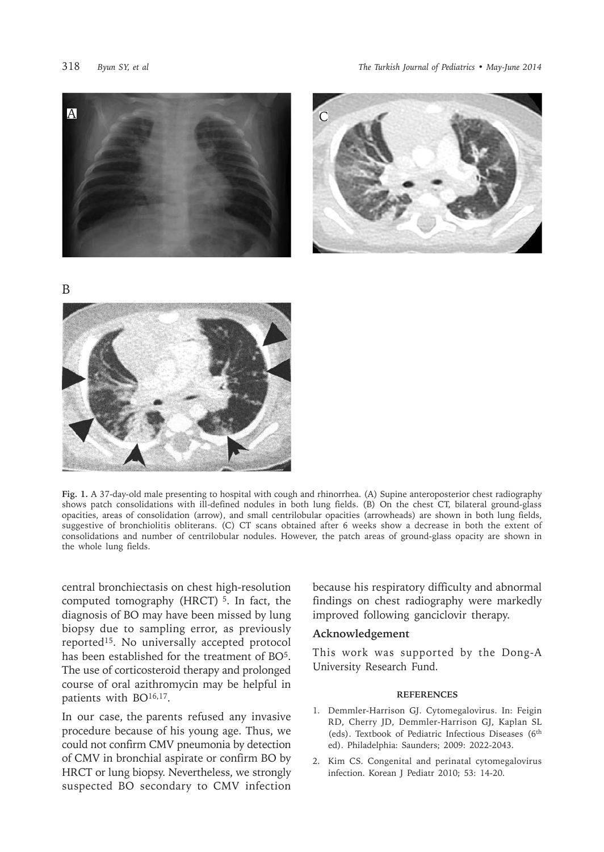



B



**Fig. 1.** A 37-day-old male presenting to hospital with cough and rhinorrhea. (A) Supine anteroposterior chest radiography shows patch consolidations with ill-defined nodules in both lung fields. (B) On the chest CT, bilateral ground-glass opacities, areas of consolidation (arrow), and small centrilobular opacities (arrowheads) are shown in both lung fields, suggestive of bronchiolitis obliterans. (C) CT scans obtained after 6 weeks show a decrease in both the extent of consolidations and number of centrilobular nodules. However, the patch areas of ground-glass opacity are shown in the whole lung fields.

central bronchiectasis on chest high-resolution computed tomography (HRCT)<sup>5</sup>. In fact, the diagnosis of BO may have been missed by lung biopsy due to sampling error, as previously reported15. No universally accepted protocol has been established for the treatment of BO<sup>5</sup>. The use of corticosteroid therapy and prolonged course of oral azithromycin may be helpful in patients with BO<sup>16,17</sup>.

In our case, the parents refused any invasive procedure because of his young age. Thus, we could not confirm CMV pneumonia by detection of CMV in bronchial aspirate or confirm BO by HRCT or lung biopsy. Nevertheless, we strongly suspected BO secondary to CMV infection

because his respiratory difficulty and abnormal findings on chest radiography were markedly improved following ganciclovir therapy.

#### **Acknowledgement**

This work was supported by the Dong-A University Research Fund.

## **REFERENCES**

- 1. Demmler-Harrison GJ. Cytomegalovirus. In: Feigin RD, Cherry JD, Demmler-Harrison GJ, Kaplan SL (eds). Textbook of Pediatric Infectious Diseases (6th ed). Philadelphia: Saunders; 2009: 2022-2043.
- 2. Kim CS. Congenital and perinatal cytomegalovirus infection. Korean J Pediatr 2010; 53: 14-20.